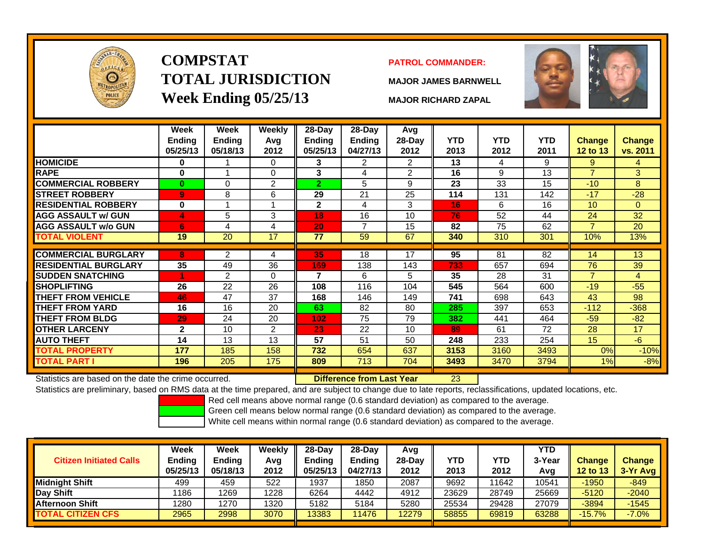

# **COMPSTATTOTAL JURISDICTIONWeek Ending 05/25/13 MAJOR RICHARD ZAPAL**

## **PATROL COMMANDER:**

**MAJOR JAMES BARNWELL**



23

|                             | <b>Week</b><br><b>Ending</b><br>05/25/13 | Week<br><b>Ending</b><br>05/18/13 | <b>Weekly</b><br>Avg<br>2012 | 28-Day<br><b>Ending</b><br>05/25/13 | 28-Day<br>Ending<br>04/27/13 | Avg<br>$28-Day$<br>2012 | <b>YTD</b><br>2013 | <b>YTD</b><br>2012 | <b>YTD</b><br>2011 | <b>Change</b><br>12 to 13 | <b>Change</b><br>vs. 2011 |
|-----------------------------|------------------------------------------|-----------------------------------|------------------------------|-------------------------------------|------------------------------|-------------------------|--------------------|--------------------|--------------------|---------------------------|---------------------------|
| <b>HOMICIDE</b>             | $\bf{0}$                                 |                                   | $\Omega$                     | 3                                   | 2                            | $\overline{2}$          | 13                 | 4                  | 9                  | 9                         | 4                         |
| <b>RAPE</b>                 | $\bf{0}$                                 |                                   | $\Omega$                     | 3                                   | 4                            | $\overline{2}$          | 16                 | 9                  | 13                 | $\overline{7}$            | 3                         |
| <b>COMMERCIAL ROBBERY</b>   | $\bf{0}$                                 | 0                                 | 2                            | $\overline{2}$                      | 5                            | 9                       | 23                 | 33                 | 15                 | $-10$                     | 8                         |
| <b>STREET ROBBERY</b>       | $\overline{9}$                           | 8                                 | 6                            | 29                                  | 21                           | 25                      | 114                | 131                | 142                | $-17$                     | $-28$                     |
| <b>RESIDENTIAL ROBBERY</b>  | 0                                        |                                   |                              | $\overline{2}$                      | 4                            | 3                       | 16                 | 6                  | 16                 | 10                        | 0                         |
| <b>AGG ASSAULT w/ GUN</b>   | 4                                        | 5                                 | 3                            | 18                                  | 16                           | 10                      | 76                 | 52                 | 44                 | 24                        | 32                        |
| <b>AGG ASSAULT w/o GUN</b>  | 6                                        | 4                                 | 4                            | 20                                  | $\overline{7}$               | 15                      | 82                 | 75                 | 62                 | $\overline{7}$            | 20                        |
| <b>TOTAL VIOLENT</b>        | 19                                       | 20                                | 17                           | 77                                  | 59                           | 67                      | 340                | 310                | 301                | 10%                       | 13%                       |
|                             |                                          |                                   |                              |                                     |                              |                         |                    |                    |                    |                           |                           |
| <b>COMMERCIAL BURGLARY</b>  | 8                                        | 2                                 | 4                            | 35                                  | 18                           | 17                      | 95                 | 81                 | 82                 | 14                        | 13                        |
| <b>RESIDENTIAL BURGLARY</b> | 35                                       | 49                                | 36                           | 169                                 | 138                          | 143                     | 733                | 657                | 694                | 76                        | 39                        |
| <b>SUDDEN SNATCHING</b>     | 4                                        | $\overline{2}$                    | $\Omega$                     | 7                                   | 6                            | 5.                      | 35                 | 28                 | 31                 | $\overline{7}$            | 4                         |
| <b>SHOPLIFTING</b>          | 26                                       | 22                                | 26                           | 108                                 | 116                          | 104                     | 545                | 564                | 600                | $-19$                     | $-55$                     |
| <b>THEFT FROM VEHICLE</b>   | 46                                       | 47                                | 37                           | 168                                 | 146                          | 149                     | 741                | 698                | 643                | 43                        | 98                        |
| THEFT FROM YARD             | 16                                       | 16                                | 20                           | 63                                  | 82                           | 80                      | 285                | 397                | 653                | $-112$                    | $-368$                    |
| THEFT FROM BLDG             | 29                                       | 24                                | 20                           | 102                                 | 75                           | 79                      | 382                | 441                | 464                | $-59$                     | $-82$                     |
| <b>OTHER LARCENY</b>        | $\mathbf{2}$                             | 10                                | 2                            | 23                                  | 22                           | 10                      | 89                 | 61                 | 72                 | 28                        | 17                        |
| <b>AUTO THEFT</b>           | 14                                       | 13                                | 13                           | 57                                  | 51                           | 50                      | 248                | 233                | 254                | 15                        | $-6$                      |
| <b>TOTAL PROPERTY</b>       | 177                                      | 185                               | 158                          | 732                                 | 654                          | 637                     | 3153               | 3160               | 3493               | 0%                        | $-10%$                    |
| TOTAL PART I                | 196                                      | 205                               | 175                          | 809                                 | 713                          | 704                     | 3493               | 3470               | 3794               | 1%                        | $-8%$                     |

Statistics are based on the date the crime occurred. **Difference from Last Year** 

Statistics are preliminary, based on RMS data at the time prepared, and are subject to change due to late reports, reclassifications, updated locations, etc.

Red cell means above normal range (0.6 standard deviation) as compared to the average.

Green cell means below normal range (0.6 standard deviation) as compared to the average.

| <b>Citizen Initiated Calls</b> | Week<br>Ending<br>05/25/13 | <b>Week</b><br><b>Ending</b><br>05/18/13 | Weekly<br>Avg<br>2012 | $28-Dav$<br><b>Endina</b><br>05/25/13 | 28-Day<br><b>Ending</b><br>04/27/13 | Avg<br>$28-Dav$<br>2012 | <b>YTD</b><br>2013 | YTD<br>2012 | <b>YTD</b><br>3-Year<br>Avg | <b>Change</b><br><b>12 to 13</b> | <b>Change</b><br>3-Yr Avg |
|--------------------------------|----------------------------|------------------------------------------|-----------------------|---------------------------------------|-------------------------------------|-------------------------|--------------------|-------------|-----------------------------|----------------------------------|---------------------------|
| Midniaht Shift                 | 499                        | 459                                      | 522                   | 1937                                  | 1850                                | 2087                    | 9692               | 11642       | 10541                       | $-1950$                          | $-849$                    |
| Day Shift                      | 1186                       | 1269                                     | 1228                  | 6264                                  | 4442                                | 4912                    | 23629              | 28749       | 25669                       | $-5120$                          | $-2040$                   |
| <b>Afternoon Shift</b>         | 1280                       | 1270                                     | 1320                  | 5182                                  | 5184                                | 5280                    | 25534              | 29428       | 27079                       | $-3894$                          | $-1545$                   |
| <b>TOTAL CITIZEN CFS</b>       | 2965                       | 2998                                     | 3070                  | 13383                                 | 11476                               | 12279                   | 58855              | 69819       | 63288                       | $-15.7%$                         | $-7.0%$                   |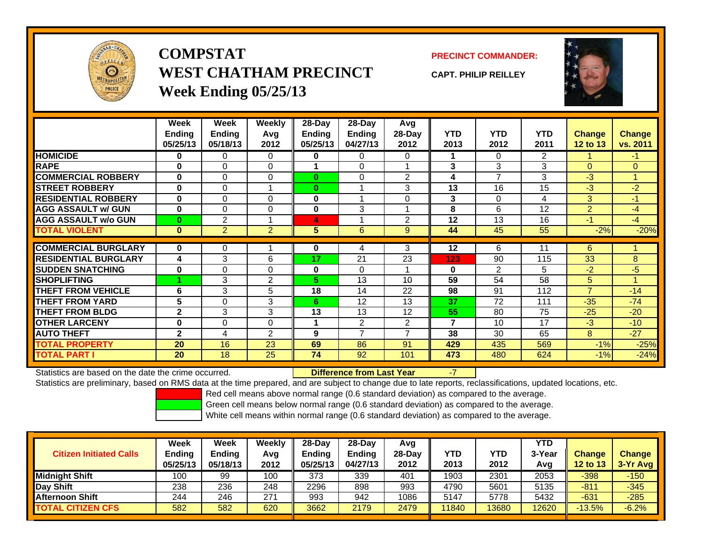

**COMPSTATWEST CHATHAM PRECINCTWeek Ending 05/25/13**

**PRECINCT COMMANDER:**

**CAPT. PHILIP REILLEY**



|                             | Week          | Week           | <b>Weekly</b>  | $28-Day$ | 28-Day         | <b>Avg</b>     |            |                |                |                 |                |
|-----------------------------|---------------|----------------|----------------|----------|----------------|----------------|------------|----------------|----------------|-----------------|----------------|
|                             | <b>Ending</b> | <b>Ending</b>  | Avg            | Endina   | <b>Endina</b>  | 28-Day         | <b>YTD</b> | <b>YTD</b>     | <b>YTD</b>     | <b>Change</b>   | <b>Change</b>  |
|                             | 05/25/13      | 05/18/13       | 2012           | 05/25/13 | 04/27/13       | 2012           | 2013       | 2012           | 2011           | <b>12 to 13</b> | vs. 2011       |
| <b>HOMICIDE</b>             | 0             | 0              | $\Omega$       | 0        | 0              | 0              |            | $\Omega$       | $\overline{2}$ |                 | $-1$           |
| <b>RAPE</b>                 | $\bf{0}$      | 0              | $\Omega$       |          | $\Omega$       |                | 3          | 3              | 3              | $\Omega$        | $\overline{0}$ |
| <b>COMMERCIAL ROBBERY</b>   | $\bf{0}$      | 0              | $\Omega$       | $\bf{0}$ | $\Omega$       | $\overline{2}$ | 4          | 7              | 3              | $-3$            | $\mathbf{1}$   |
| <b>STREET ROBBERY</b>       | $\bf{0}$      | 0              |                | $\bf{0}$ |                | 3              | 13         | 16             | 15             | $-3$            | $-2$           |
| <b>RESIDENTIAL ROBBERY</b>  | $\bf{0}$      | 0              | $\Omega$       | $\bf{0}$ |                | $\Omega$       | 3          | $\Omega$       | 4              | 3               | $-1$           |
| <b>AGG ASSAULT w/ GUN</b>   | $\bf{0}$      | 0              | 0              | $\bf{0}$ | 3              |                | 8          | 6              | 12             | $\overline{2}$  | $-4$           |
| <b>AGG ASSAULT w/o GUN</b>  | $\bf{0}$      | 2              | 4              | 4        |                | 2              | 12         | 13             | 16             | $-1$            | $-4$           |
| <b>TOTAL VIOLENT</b>        | $\bf{0}$      | $\overline{2}$ | $\overline{2}$ | 5        | 6              | 9              | 44         | 45             | 55             | $-2%$           | $-20%$         |
|                             |               |                |                |          |                |                |            |                |                |                 |                |
| <b>COMMERCIAL BURGLARY</b>  | $\bf{0}$      | 0              |                | 0        | 4              | 3              | 12         | 6              | 11             | 6               |                |
| <b>RESIDENTIAL BURGLARY</b> | 4             | 3              | 6              | 17       | 21             | 23             | 123        | 90             | 115            | 33              | 8              |
| <b>SUDDEN SNATCHING</b>     | 0             | 0              | $\Omega$       | $\bf{0}$ | $\Omega$       |                | 0          | $\overline{2}$ | 5              | $-2$            | $-5$           |
| <b>SHOPLIFTING</b>          |               | 3              | 2              | 5.       | 13             | 10             | 59         | 54             | 58             | 5               | 1              |
| <b>THEFT FROM VEHICLE</b>   | 6             | 3              | 5              | 18       | 14             | 22             | 98         | 91             | 112            | $\overline{7}$  | $-14$          |
| <b>THEFT FROM YARD</b>      | 5             | 0              | 3              | 6        | 12             | 13             | 37         | 72             | 111            | $-35$           | $-74$          |
| <b>THEFT FROM BLDG</b>      | $\mathbf{2}$  | 3              | 3              | 13       | 13             | 12             | 55         | 80             | 75             | $-25$           | $-20$          |
| <b>OTHER LARCENY</b>        | 0             | 0              | 0              |          | 2              | $\overline{2}$ | 7          | 10             | 17             | $-3$            | $-10$          |
| <b>AUTO THEFT</b>           | $\mathbf{2}$  | 4              | $\overline{2}$ | 9        | $\overline{7}$ | $\overline{ }$ | 38         | 30             | 65             | 8               | $-27$          |
| <b>TOTAL PROPERTY</b>       | 20            | 16             | 23             | 69       | 86             | 91             | 429        | 435            | 569            | $-1%$           | $-25%$         |
| <b>TOTAL PART I</b>         | 20            | 18             | 25             | 74       | 92             | 101            | 473        | 480            | 624            | $-1%$           | $-24%$         |

Statistics are based on the date the crime occurred. **Difference from Last Year** 

Statistics are preliminary, based on RMS data at the time prepared, and are subject to change due to late reports, reclassifications, updated locations, etc.

Red cell means above normal range (0.6 standard deviation) as compared to the average.

-7

Green cell means below normal range (0.6 standard deviation) as compared to the average.

| <b>Citizen Initiated Calls</b> | <b>Week</b><br>Ending<br>05/25/13 | <b>Week</b><br><b>Endina</b><br>05/18/13 | Weekly<br>Avg<br>2012 | 28-Dav<br><b>Endina</b><br>05/25/13 | 28-Dav<br><b>Endina</b><br>04/27/13 | Avg<br>$28-Dav$<br>2012 | YTD<br>2013 | YTD<br>2012 | YTD<br>3-Year<br>Avg | <b>Change</b><br><b>12 to 13</b> | <b>Change</b><br>3-Yr Avg |
|--------------------------------|-----------------------------------|------------------------------------------|-----------------------|-------------------------------------|-------------------------------------|-------------------------|-------------|-------------|----------------------|----------------------------------|---------------------------|
| <b>Midnight Shift</b>          | 100                               | 99                                       | 100                   | 373                                 | 339                                 | 401                     | 1903        | 2301        | 2053                 | $-398$                           | $-150$                    |
| Day Shift                      | 238                               | 236                                      | 248                   | 2296                                | 898                                 | 993                     | 4790        | 5601        | 5135                 | $-811$                           | $-345$                    |
| <b>Afternoon Shift</b>         | 244                               | 246                                      | 271                   | 993                                 | 942                                 | 1086                    | 5147        | 5778        | 5432                 | $-631$                           | $-285$                    |
| <b>TOTAL CITIZEN CFS</b>       | 582                               | 582                                      | 620                   | 3662                                | 2179                                | 2479                    | 11840       | 13680       | 12620                | $-13.5%$                         | $-6.2%$                   |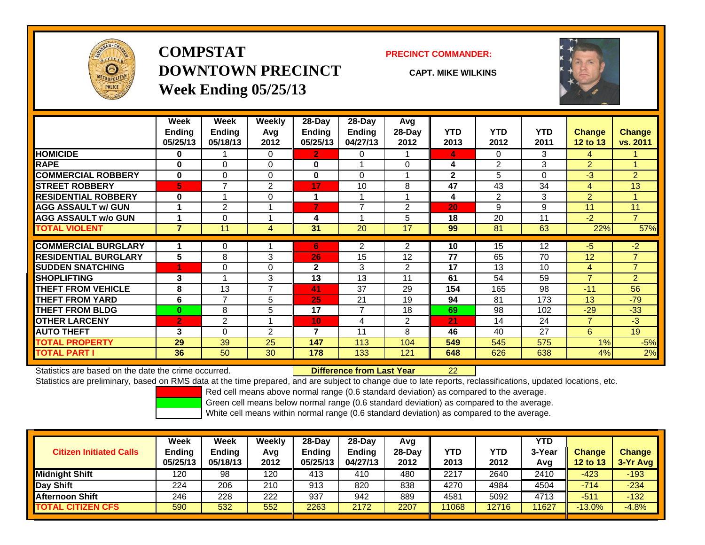

## **COMPSTATDOWNTOWN PRECINCTWeek Ending 05/25/13**

### **PRECINCT COMMANDER:**

**CAPT. MIKE WILKINS**



|                             | Week           | Week           | Weekly         | 28-Day                   | 28-Day         | Avg            |              |                |            |                                  |                |
|-----------------------------|----------------|----------------|----------------|--------------------------|----------------|----------------|--------------|----------------|------------|----------------------------------|----------------|
|                             | <b>Ending</b>  | Ending         | Avg            | Ending                   | <b>Ending</b>  | 28-Day         | <b>YTD</b>   | <b>YTD</b>     | <b>YTD</b> | <b>Change</b>                    | <b>Change</b>  |
|                             | 05/25/13       | 05/18/13       | 2012           | 05/25/13                 | 04/27/13       | 2012           | 2013         | 2012           | 2011       | 12 to 13                         | vs. 2011       |
| <b>HOMICIDE</b>             | $\bf{0}$       |                | 0              | 2                        | 0              |                | 4            | $\Omega$       | 3          | 4                                |                |
| <b>RAPE</b>                 | $\bf{0}$       | $\Omega$       | $\Omega$       | $\bf{0}$                 |                | $\Omega$       | 4            | $\overline{2}$ | 3          | $\overline{2}$                   |                |
| <b>COMMERCIAL ROBBERY</b>   | 0              | $\Omega$       | $\Omega$       | 0                        | $\Omega$       |                | $\mathbf{2}$ | 5              | 0          | -3                               | $\overline{2}$ |
| <b>STREET ROBBERY</b>       | 5              | 7              | 2              | 17                       | 10             | 8              | 47           | 43             | 34         | 4                                | 13             |
| <b>RESIDENTIAL ROBBERY</b>  | $\bf{0}$       | 1              | 0              | 1                        | 4              | 4              | 4            | 2              | 3          | $\overline{2}$                   | $\overline{A}$ |
| <b>AGG ASSAULT w/ GUN</b>   | 1              | 2              |                | $\overline{7}$           | $\overline{7}$ | 2              | 20           | 9              | 9          | 11                               | 11             |
| <b>AGG ASSAULT w/o GUN</b>  |                | $\Omega$       |                | 4                        |                | 5              | 18           | 20             | 11         | $-2$                             | $\overline{7}$ |
| <b>TOTAL VIOLENT</b>        | $\overline{7}$ | 11             | 4              | 31                       | 20             | 17             | 99           | 81             | 63         | 22%                              | 57%            |
| <b>COMMERCIAL BURGLARY</b>  |                | 0              |                | 6                        | 2              | $\overline{2}$ | 10           | 15             | 12         | -5                               | $-2$           |
| <b>RESIDENTIAL BURGLARY</b> | 5              | 8              | 3              | 26                       | 15             | 12             | 77           | 65             | 70         | 12                               | $\overline{7}$ |
| <b>SUDDEN SNATCHING</b>     | 1              | $\Omega$       |                | $\mathbf{2}$             | 3              | $\overline{2}$ | 17           | 13             | 10         |                                  | $\overline{7}$ |
|                             |                |                | $\Omega$       |                          |                |                |              |                |            | $\overline{4}$<br>$\overline{7}$ |                |
| <b>SHOPLIFTING</b>          | 3              |                | 3              | 13                       | 13             | 11             | 61           | 54             | 59         |                                  | $\overline{2}$ |
| <b>THEFT FROM VEHICLE</b>   | 8              | 13             | $\overline{7}$ | 41                       | 37             | 29             | 154          | 165            | 98         | $-11$                            | 56             |
| <b>THEFT FROM YARD</b>      | 6              | $\overline{7}$ | 5              | 25                       | 21             | 19             | 94           | 81             | 173        | 13                               | $-79$          |
| <b>THEFT FROM BLDG</b>      | $\bf{0}$       | 8              | 5              | 17                       | 7              | 18             | 69           | 98             | 102        | $-29$                            | $-33$          |
| <b>OTHER LARCENY</b>        | $\overline{2}$ | 2              |                | 10                       | 4              | $\overline{2}$ | 21           | 14             | 24         | $\overline{7}$                   | $-3$           |
| <b>AUTO THEFT</b>           | 3              | $\Omega$       | 2              | $\overline{\phantom{a}}$ | 11             | 8.             | 46           | 40             | 27         | 6                                | 19             |
| <b>TOTAL PROPERTY</b>       | 29             | 39             | 25             | 147                      | 113            | 104            | 549          | 545            | 575        | 1%                               | $-5%$          |
| <b>TOTAL PART I</b>         | 36             | 50             | 30             | 178                      | 133            | 121            | 648          | 626            | 638        | 4%                               | 2%             |

Statistics are based on the date the crime occurred. **Difference from Last Year** 

r 22

Statistics are preliminary, based on RMS data at the time prepared, and are subject to change due to late reports, reclassifications, updated locations, etc.

Red cell means above normal range (0.6 standard deviation) as compared to the average.

Green cell means below normal range (0.6 standard deviation) as compared to the average.

|                                | Week                      | Week                      | Weekly      | $28-Day$                  | $28-Day$                  | Avg            |             |                    | <b>YTD</b>    |                           |                           |
|--------------------------------|---------------------------|---------------------------|-------------|---------------------------|---------------------------|----------------|-------------|--------------------|---------------|---------------------------|---------------------------|
| <b>Citizen Initiated Calls</b> | <b>Ending</b><br>05/25/13 | <b>Ending</b><br>05/18/13 | Avg<br>2012 | <b>Ending</b><br>05/25/13 | <b>Endina</b><br>04/27/13 | 28-Dav<br>2012 | YTD<br>2013 | <b>YTD</b><br>2012 | 3-Year<br>Avg | <b>Change</b><br>12 to 13 | <b>Change</b><br>3-Yr Avg |
| <b>Midnight Shift</b>          | 120                       | 98                        | 120         | 413                       | 410                       | 480            | 2217        | 2640               | 2410          | $-423$                    | $-193$                    |
| Day Shift                      | 224                       | 206                       | 210         | 913                       | 820                       | 838            | 4270        | 4984               | 4504          | -714                      | $-234$                    |
| <b>Afternoon Shift</b>         | 246                       | 228                       | 222         | 937                       | 942                       | 889            | 4581        | 5092               | 4713          | $-511$                    | $-132$                    |
| <b>TOTAL CITIZEN CFS</b>       | 590                       | 532                       | 552         | 2263                      | 2172                      | 2207           | 11068       | 12716              | 1627          | $-13.0%$                  | $-4.8%$                   |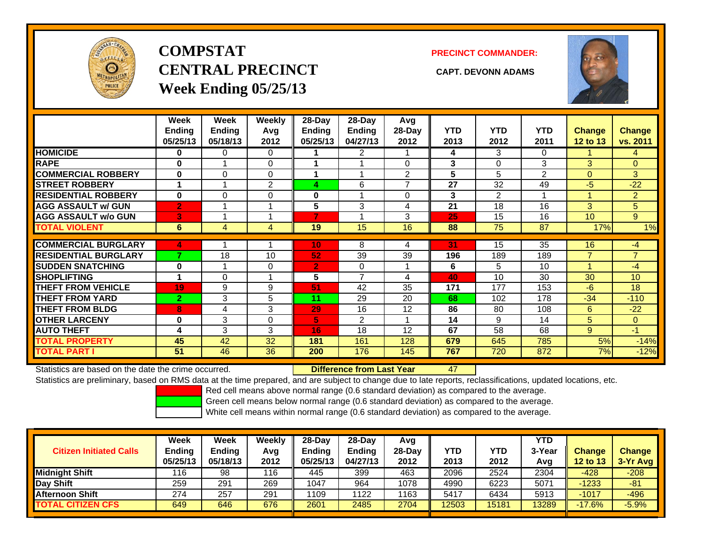

# **COMPSTATCENTRAL PRECINCT CAPT. DEVONN ADAMSWeek Ending 05/25/13**

**PRECINCT COMMANDER:**



|                             | Week<br><b>Ending</b><br>05/25/13 | Week<br><b>Ending</b><br>05/18/13 | <b>Weekly</b><br>Avg<br>2012 | 28-Day<br>Ending<br>05/25/13 | 28-Day<br><b>Ending</b><br>04/27/13 | Avg<br>$28-Day$<br>2012 | <b>YTD</b><br>2013 | <b>YTD</b><br>2012 | <b>YTD</b><br>2011 | <b>Change</b><br><b>12 to 13</b> | <b>Change</b><br>vs. 2011 |
|-----------------------------|-----------------------------------|-----------------------------------|------------------------------|------------------------------|-------------------------------------|-------------------------|--------------------|--------------------|--------------------|----------------------------------|---------------------------|
| <b>HOMICIDE</b>             | 0                                 | 0                                 | $\Omega$                     |                              | 2                                   |                         | 4                  | 3                  | 0                  |                                  | $\overline{4}$            |
| <b>RAPE</b>                 | $\bf{0}$                          |                                   | $\Omega$                     |                              |                                     | 0                       | 3                  | $\Omega$           | 3                  | 3                                | $\overline{0}$            |
| <b>COMMERCIAL ROBBERY</b>   | $\bf{0}$                          | $\Omega$                          | $\Omega$                     |                              |                                     | $\overline{2}$          | 5                  | 5                  | 2                  | $\Omega$                         | 3                         |
| <b>STREET ROBBERY</b>       |                                   |                                   | $\overline{2}$               | 4                            | 6                                   | $\overline{ }$          | 27                 | 32                 | 49                 | $-5$                             | $-22$                     |
| <b>RESIDENTIAL ROBBERY</b>  | $\bf{0}$                          | $\Omega$                          | $\Omega$                     | 0                            |                                     | $\Omega$                | 3                  | $\overline{2}$     | 1                  |                                  | $\overline{2}$            |
| <b>AGG ASSAULT w/ GUN</b>   | $\overline{2}$                    |                                   |                              | 5                            | 3                                   | 4                       | 21                 | 18                 | 16                 | 3                                | 5                         |
| <b>AGG ASSAULT w/o GUN</b>  | 3                                 |                                   |                              | 7                            |                                     | 3                       | 25                 | 15                 | 16                 | 10 <sup>°</sup>                  | 9                         |
| <b>TOTAL VIOLENT</b>        | 6                                 | 4                                 | 4                            | 19                           | 15                                  | 16                      | 88                 | 75                 | 87                 | 17%                              | 1%                        |
| <b>COMMERCIAL BURGLARY</b>  |                                   |                                   |                              |                              |                                     |                         |                    | 15                 |                    |                                  |                           |
|                             | 4<br>7                            |                                   |                              | 10                           | 8                                   | 4                       | 31                 |                    | 35                 | 16                               | -4                        |
| <b>RESIDENTIAL BURGLARY</b> |                                   | 18                                | 10                           | 52                           | 39                                  | 39                      | 196                | 189                | 189                | $\overline{7}$                   | $\overline{7}$            |
| <b>SUDDEN SNATCHING</b>     | $\bf{0}$                          | 1                                 | $\Omega$                     | $\overline{2}$               | 0                                   |                         | 6                  | 5                  | 10                 |                                  | $-4$                      |
| <b>SHOPLIFTING</b>          |                                   | 0                                 |                              | 5                            | $\overline{ }$                      | 4                       | 40                 | 10                 | 30                 | 30                               | 10                        |
| <b>THEFT FROM VEHICLE</b>   | 19                                | 9                                 | 9                            | 51                           | 42                                  | 35                      | 171                | 177                | 153                | $-6$                             | 18                        |
| <b>THEFT FROM YARD</b>      | $\overline{2}$                    | 3                                 | 5                            | 11                           | 29                                  | 20                      | 68                 | 102                | 178                | $-34$                            | $-110$                    |
| <b>THEFT FROM BLDG</b>      | 8                                 | 4                                 | 3                            | 29                           | 16                                  | 12                      | 86                 | 80                 | 108                | 6                                | $-22$                     |
| <b>OTHER LARCENY</b>        | 0                                 | 3                                 | 0                            | 5                            | $\overline{2}$                      |                         | 14                 | 9                  | 14                 | 5                                | $\overline{0}$            |
| <b>AUTO THEFT</b>           | 4                                 | 3                                 | 3                            | 16                           | 18                                  | 12                      | 67                 | 58                 | 68                 | 9                                | $-1$                      |
| <b>TOTAL PROPERTY</b>       | 45                                | 42                                | 32                           | 181                          | 161                                 | 128                     | 679                | 645                | 785                | 5%                               | $-14%$                    |
| <b>TOTAL PART I</b>         | 51                                | 46                                | 36                           | 200                          | 176                                 | 145                     | 767                | 720                | 872                | 7%                               | $-12%$                    |

Statistics are based on the date the crime occurred. **Difference from Last Year** 

47

Statistics are preliminary, based on RMS data at the time prepared, and are subject to change due to late reports, reclassifications, updated locations, etc.

Red cell means above normal range (0.6 standard deviation) as compared to the average.

Green cell means below normal range (0.6 standard deviation) as compared to the average.

|                                | <b>Week</b>   | Week     | Weekly | $28-Dav$      | 28-Day        | Avg      |            |            | YTD    |                 |               |
|--------------------------------|---------------|----------|--------|---------------|---------------|----------|------------|------------|--------|-----------------|---------------|
| <b>Citizen Initiated Calls</b> | <b>Ending</b> | Ending   | Avg    | <b>Ending</b> | <b>Ending</b> | $28-Dav$ | <b>YTD</b> | <b>YTD</b> | 3-Year | <b>Change</b>   | <b>Change</b> |
|                                | 05/25/13      | 05/18/13 | 2012   | 05/25/13      | 04/27/13      | 2012     | 2013       | 2012       | Avg    | <b>12 to 13</b> | $3-Yr$ Avg    |
| <b>Midnight Shift</b>          | 116           | 98       | 116    | 445           | 399           | 463      | 2096       | 2524       | 2304   | $-428$          | $-208$        |
| Day Shift                      | 259           | 291      | 269    | 1047          | 964           | 1078     | 4990       | 6223       | 5071   | -1233           | $-81$         |
| <b>Afternoon Shift</b>         | 274           | 257      | 291    | 1109          | 1122          | 1163     | 5417       | 6434       | 5913   | $-1017$         | $-496$        |
| <b>TOTAL CITIZEN CFS</b>       | 649           | 646      | 676    | 2601          | 2485          | 2704     | 12503      | 15181      | 13289  | $-17.6%$        | $-5.9%$       |
|                                |               |          |        |               |               |          |            |            |        |                 |               |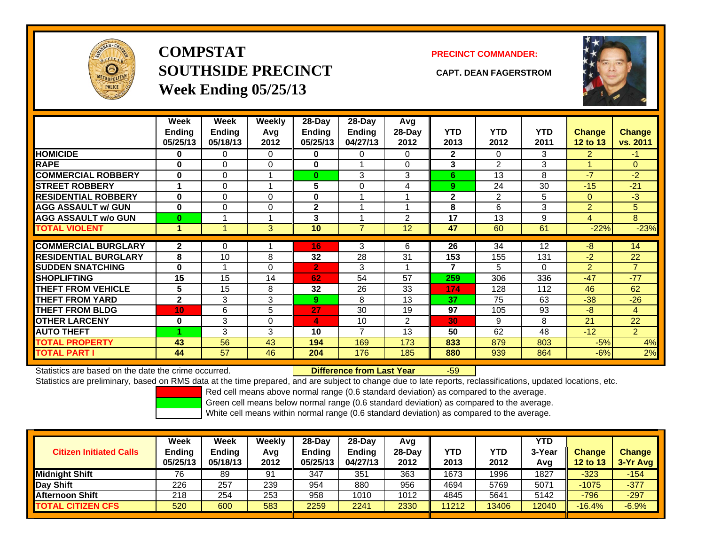

**COMPSTATSOUTHSIDE PRECINCT CAPT. DEAN FAGERSTROMWeek Ending 05/25/13**

## **PRECINCT COMMANDER:**



|                             | Week<br><b>Ending</b><br>05/25/13 | Week<br>Ending<br>05/18/13 | Weekly<br>Avg<br>2012 | 28-Day<br>Ending<br>05/25/13 | $28$ -Day<br><b>Ending</b><br>04/27/13 | Avg<br>$28-Day$<br>2012 | <b>YTD</b><br>2013 | <b>YTD</b><br>2012 | <b>YTD</b><br>2011 | <b>Change</b><br>12 to 13 | Change<br>vs. 2011 |
|-----------------------------|-----------------------------------|----------------------------|-----------------------|------------------------------|----------------------------------------|-------------------------|--------------------|--------------------|--------------------|---------------------------|--------------------|
| <b>HOMICIDE</b>             | 0                                 | 0                          | 0                     | 0                            | 0                                      | 0                       | $\mathbf{2}$       | $\Omega$           | 3.                 | 2                         | $-1$               |
| <b>RAPE</b>                 | O                                 | $\Omega$                   | $\Omega$              | 0                            |                                        | 0                       | 3                  | $\mathfrak{p}$     | 3                  |                           | $\Omega$           |
| <b>COMMERCIAL ROBBERY</b>   | $\bf{0}$                          | 0                          |                       | $\bf{0}$                     | 3                                      | 3                       | 6                  | 13                 | 8                  | -7                        | $-2$               |
| <b>STREET ROBBERY</b>       | 1                                 | 0                          |                       | 5                            | $\Omega$                               | 4                       | 9                  | 24                 | 30                 | $-15$                     | $-21$              |
| <b>RESIDENTIAL ROBBERY</b>  | $\bf{0}$                          | 0                          | $\Omega$              | 0                            |                                        |                         | $\mathbf 2$        | 2                  | 5                  | $\Omega$                  | $-3$               |
| <b>AGG ASSAULT w/ GUN</b>   | $\bf{0}$                          | 0                          | $\mathbf 0$           | $\mathbf{2}$                 |                                        |                         | 8                  | 6                  | 3                  | 2                         | 5                  |
| <b>AGG ASSAULT w/o GUN</b>  | $\bf{0}$                          |                            |                       | 3                            |                                        | 2                       | 17                 | 13                 | 9                  | 4                         | 8                  |
| <b>TOTAL VIOLENT</b>        | 1                                 |                            | 3 <sup>1</sup>        | 10                           | $\overline{7}$                         | 12                      | 47                 | 60                 | 61                 | $-22%$                    | $-23%$             |
|                             |                                   |                            |                       |                              |                                        |                         |                    |                    |                    |                           |                    |
| <b>COMMERCIAL BURGLARY</b>  | $\mathbf{2}$                      | 0                          |                       | 16                           | 3                                      | 6                       | 26                 | 34                 | 12                 | -8                        | 14                 |
| <b>RESIDENTIAL BURGLARY</b> | 8                                 | 10                         | 8                     | 32                           | 28                                     | 31                      | 153                | 155                | 131                | $-2$                      | 22                 |
| <b>SUDDEN SNATCHING</b>     | $\bf{0}$                          | 1                          | $\Omega$              | $\overline{2}$               | 3                                      |                         | 7                  | 5                  | 0                  | 2                         | $\overline{7}$     |
| <b>SHOPLIFTING</b>          | 15                                | 15                         | 14                    | 62                           | 54                                     | 57                      | 259                | 306                | 336                | $-47$                     | $-77$              |
| <b>THEFT FROM VEHICLE</b>   | 5                                 | 15                         | 8                     | 32                           | 26                                     | 33                      | 174                | 128                | 112                | 46                        | 62                 |
| <b>THEFT FROM YARD</b>      | $\mathbf{2}$                      | 3                          | 3                     | 9                            | 8                                      | 13                      | 37                 | 75                 | 63                 | $-38$                     | $-26$              |
| <b>THEFT FROM BLDG</b>      | 10                                | 6                          | 5                     | 27                           | 30                                     | 19                      | 97                 | 105                | 93                 | -8                        | $\overline{4}$     |
| <b>OTHER LARCENY</b>        | 0                                 | 3                          | $\Omega$              | 4                            | 10                                     | $\overline{2}$          | 30                 | 9                  | 8                  | 21                        | 22                 |
| <b>AUTO THEFT</b>           |                                   | 3                          | 3                     | 10                           | 7                                      | 13                      | 50                 | 62                 | 48                 | $-12$                     | $\overline{2}$     |
| <b>TOTAL PROPERTY</b>       | 43                                | 56                         | 43                    | 194                          | 169                                    | 173                     | 833                | 879                | 803                | $-5%$                     | 4%                 |
| <b>TOTAL PART I</b>         | 44                                | 57                         | 46                    | 204                          | 176                                    | 185                     | 880                | 939                | 864                | $-6%$                     | 2%                 |

Statistics are based on the date the crime occurred. **Difference from Last Year** 

### r -59

Statistics are preliminary, based on RMS data at the time prepared, and are subject to change due to late reports, reclassifications, updated locations, etc.

Red cell means above normal range (0.6 standard deviation) as compared to the average.

Green cell means below normal range (0.6 standard deviation) as compared to the average.

| <b>Citizen Initiated Calls</b> | Week<br><b>Ending</b><br>05/25/13 | Week<br><b>Ending</b><br>05/18/13 | Weeklv<br>Avg<br>2012 | $28-Day$<br><b>Ending</b><br>05/25/13 | $28-Day$<br><b>Ending</b><br>04/27/13 | Avg<br>28-Dav<br>2012 | YTD<br>2013 | YTD<br>2012 | YTD<br>3-Year<br>Avg | <b>Change</b><br><b>12 to 13</b> | <b>Change</b><br>3-Yr Avg |
|--------------------------------|-----------------------------------|-----------------------------------|-----------------------|---------------------------------------|---------------------------------------|-----------------------|-------------|-------------|----------------------|----------------------------------|---------------------------|
| <b>Midnight Shift</b>          | 76                                | 89                                | 91                    | 347                                   | 351                                   | 363                   | 1673        | 1996        | 1827                 | $-323$                           | $-154$                    |
| Day Shift                      | 226                               | 257                               | 239                   | 954                                   | 880                                   | 956                   | 4694        | 5769        | 5071                 | $-1075$                          | $-377$                    |
| <b>Afternoon Shift</b>         | 218                               | 254                               | 253                   | 958                                   | 1010                                  | 1012                  | 4845        | 5641        | 5142                 | $-796$                           | $-297$                    |
| <b>TOTAL CITIZEN CFS</b>       | 520                               | 600                               | 583                   | 2259                                  | 2241                                  | 2330                  | 11212       | 13406       | 12040                | $-16.4%$                         | $-6.9%$                   |